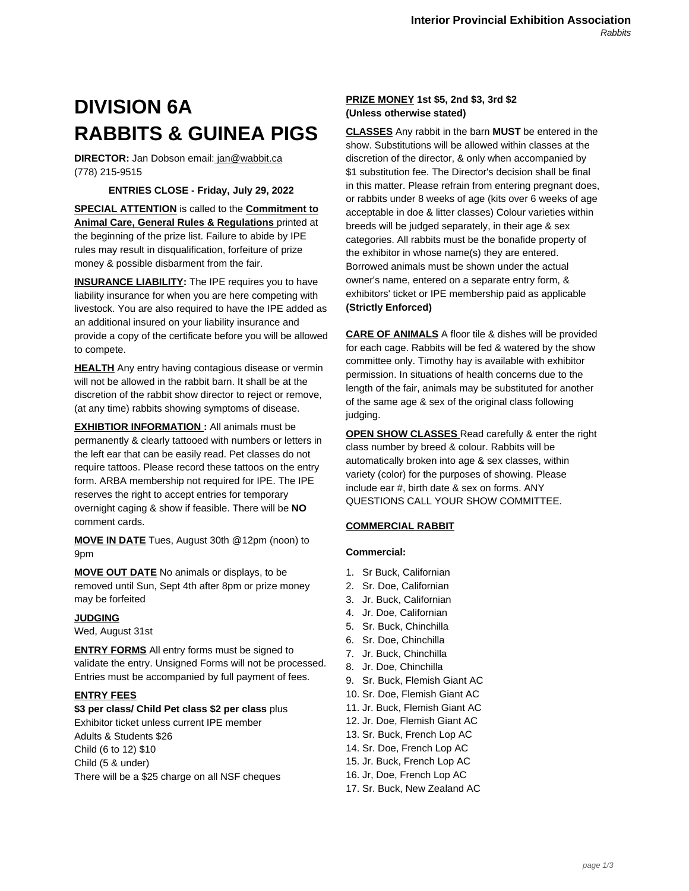# **DIVISION 6A RABBITS & GUINEA PIGS**

**DIRECTOR:** Jan Dobson email: jan@wabbit.ca (778) 215-9515

## **ENTRIES CLOSE - Friday, July 29, 2022**

**SPECIAL ATTENTION** is called to the **Commitment to Animal Care, General Rules & Regulations** printed at the beginning of the prize list. Failure to abide by IPE rules may result in disqualification, forfeiture of prize money & possible disbarment from the fair.

**INSURANCE LIABILITY:** The IPE requires you to have liability insurance for when you are here competing with livestock. You are also required to have the IPE added as an additional insured on your liability insurance and provide a copy of the certificate before you will be allowed to compete.

**HEALTH** Any entry having contagious disease or vermin will not be allowed in the rabbit barn. It shall be at the discretion of the rabbit show director to reject or remove, (at any time) rabbits showing symptoms of disease.

**EXHIBTIOR INFORMATION:** All animals must be permanently & clearly tattooed with numbers or letters in the left ear that can be easily read. Pet classes do not require tattoos. Please record these tattoos on the entry form. ARBA membership not required for IPE. The IPE reserves the right to accept entries for temporary overnight caging & show if feasible. There will be **NO** comment cards.

**MOVE IN DATE** Tues, August 30th @12pm (noon) to 9pm

**MOVE OUT DATE** No animals or displays, to be removed until Sun, Sept 4th after 8pm or prize money may be forfeited

#### **JUDGING**

Wed, August 31st

**ENTRY FORMS** All entry forms must be signed to validate the entry. Unsigned Forms will not be processed. Entries must be accompanied by full payment of fees.

#### **ENTRY FEES**

**\$3 per class/ Child Pet class \$2 per class** plus Exhibitor ticket unless current IPE member Adults & Students \$26 Child (6 to 12) \$10 Child (5 & under) There will be a \$25 charge on all NSF cheques

## **PRIZE MONEY 1st \$5, 2nd \$3, 3rd \$2 (Unless otherwise stated)**

**CLASSES** Any rabbit in the barn **MUST** be entered in the show. Substitutions will be allowed within classes at the discretion of the director, & only when accompanied by \$1 substitution fee. The Director's decision shall be final in this matter. Please refrain from entering pregnant does, or rabbits under 8 weeks of age (kits over 6 weeks of age acceptable in doe & litter classes) Colour varieties within breeds will be judged separately, in their age & sex categories. All rabbits must be the bonafide property of the exhibitor in whose name(s) they are entered. Borrowed animals must be shown under the actual owner's name, entered on a separate entry form, & exhibitors' ticket or IPE membership paid as applicable **(Strictly Enforced)**

**CARE OF ANIMALS** A floor tile & dishes will be provided for each cage. Rabbits will be fed & watered by the show committee only. Timothy hay is available with exhibitor permission. In situations of health concerns due to the length of the fair, animals may be substituted for another of the same age & sex of the original class following judging.

**OPEN SHOW CLASSES** Read carefully & enter the right class number by breed & colour. Rabbits will be automatically broken into age & sex classes, within variety (color) for the purposes of showing. Please include ear #, birth date & sex on forms. ANY QUESTIONS CALL YOUR SHOW COMMITTEE.

## **COMMERCIAL RABBIT**

#### **Commercial:**

- 1. Sr Buck, Californian
- 2. Sr. Doe, Californian
- 3. Jr. Buck, Californian
- 4. Jr. Doe, Californian
- 5. Sr. Buck, Chinchilla
- 6. Sr. Doe, Chinchilla
- 7. Jr. Buck, Chinchilla
- 8. Jr. Doe, Chinchilla
- 9. Sr. Buck, Flemish Giant AC
- 10. Sr. Doe, Flemish Giant AC
- 11. Jr. Buck, Flemish Giant AC
- 12. Jr. Doe, Flemish Giant AC
- 13. Sr. Buck, French Lop AC
- 14. Sr. Doe, French Lop AC
- 15. Jr. Buck, French Lop AC
- 16. Jr, Doe, French Lop AC
- 17. Sr. Buck, New Zealand AC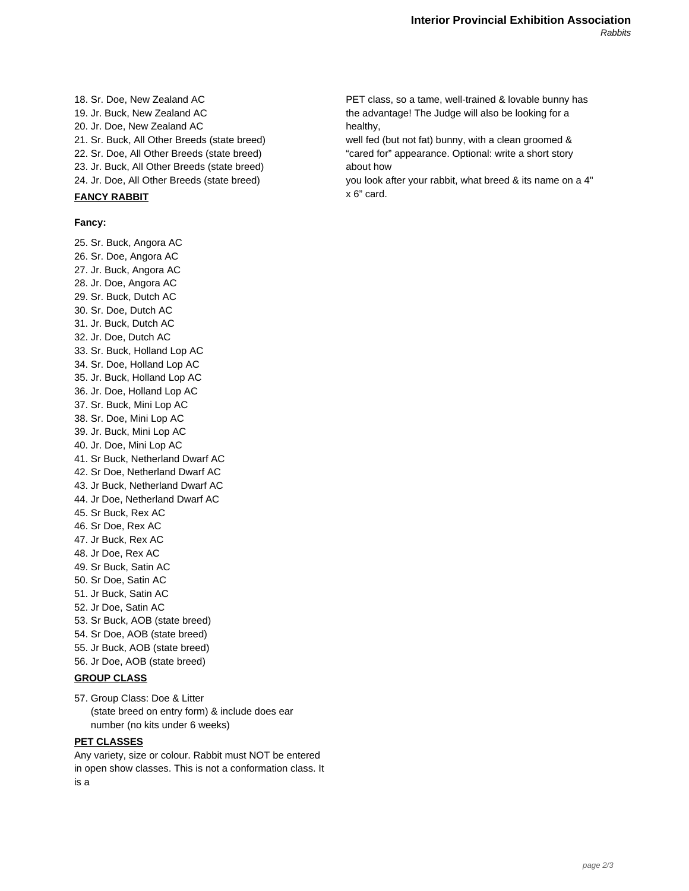18. Sr. Doe, New Zealand AC 19. Jr. Buck, New Zealand AC 20. Jr. Doe, New Zealand AC 21. Sr. Buck, All Other Breeds (state breed) 22. Sr. Doe, All Other Breeds (state breed) 23. Jr. Buck, All Other Breeds (state breed) 24. Jr. Doe, All Other Breeds (state breed)

# **FANCY RABBIT**

**Fancy:**

25. Sr. Buck, Angora AC 26. Sr. Doe, Angora AC 27. Jr. Buck, Angora AC 28. Jr. Doe, Angora AC 29. Sr. Buck, Dutch AC 30. Sr. Doe, Dutch AC 31. Jr. Buck, Dutch AC 32. Jr. Doe, Dutch AC 33. Sr. Buck, Holland Lop AC 34. Sr. Doe, Holland Lop AC 35. Jr. Buck, Holland Lop AC 36. Jr. Doe, Holland Lop AC 37. Sr. Buck, Mini Lop AC 38. Sr. Doe, Mini Lop AC 39. Jr. Buck, Mini Lop AC 40. Jr. Doe, Mini Lop AC 41. Sr Buck, Netherland Dwarf AC 42. Sr Doe, Netherland Dwarf AC 43. Jr Buck, Netherland Dwarf AC 44. Jr Doe, Netherland Dwarf AC 45. Sr Buck, Rex AC 46. Sr Doe, Rex AC 47. Jr Buck, Rex AC 48. Jr Doe, Rex AC 49. Sr Buck, Satin AC 50. Sr Doe, Satin AC 51. Jr Buck, Satin AC 52. Jr Doe, Satin AC 53. Sr Buck, AOB (state breed) 54. Sr Doe, AOB (state breed) 55. Jr Buck, AOB (state breed) 56. Jr Doe, AOB (state breed)

#### **GROUP CLASS**

57. Group Class: Doe & Litter (state breed on entry form) & include does ear number (no kits under 6 weeks)

### **PET CLASSES**

Any variety, size or colour. Rabbit must NOT be entered in open show classes. This is not a conformation class. It is a

PET class, so a tame, well-trained & lovable bunny has the advantage! The Judge will also be looking for a healthy,

well fed (but not fat) bunny, with a clean groomed & "cared for" appearance. Optional: write a short story about how

you look after your rabbit, what breed & its name on a 4" x 6" card.